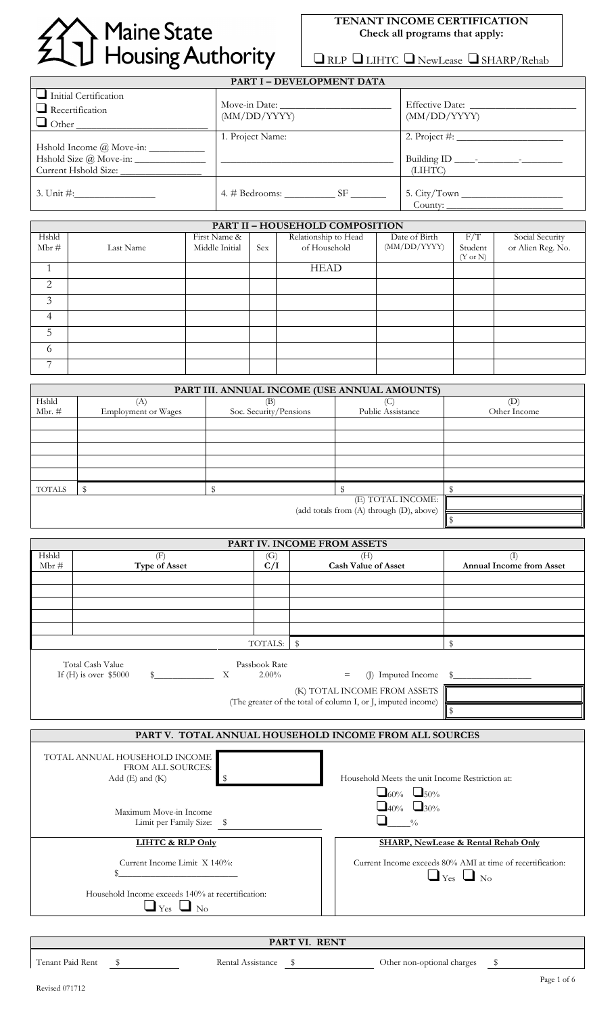# Maine State<br>1 Housing Authority

# **TENANT INCOME CERTIFICATION Check all programs that apply:**

 $\boxed{\text{RLP}}$  LIHTC <br/>  $\boxed{\text{NewLeast}}$  SHARP/Rehab

| PART I - DEVELOPMENT DATA                                              |                  |                                 |  |  |  |
|------------------------------------------------------------------------|------------------|---------------------------------|--|--|--|
| $\Box$ Initial Certification<br>$\Box$ Recertification<br>$\Box$ Other | (MM/DD/YYYY)     | Effective Date:<br>(MM/DD/YYYY) |  |  |  |
| $Hshold Size @Move-in:$                                                | 1. Project Name: | (LIHTC)                         |  |  |  |
|                                                                        |                  |                                 |  |  |  |

|                | PART II - HOUSEHOLD COMPOSITION |                |            |                      |               |                     |                                      |
|----------------|---------------------------------|----------------|------------|----------------------|---------------|---------------------|--------------------------------------|
| Hshld          |                                 | First Name &   |            | Relationship to Head | Date of Birth | F/T                 | Social Security<br>or Alien Reg. No. |
| $Mbr \#$       | Last Name                       | Middle Initial | <b>Sex</b> | of Household         | (MM/DD/YYYY)  | Student             |                                      |
|                |                                 |                |            |                      |               | $(Y \text{ or } N)$ |                                      |
|                |                                 |                |            | <b>HEAD</b>          |               |                     |                                      |
| 2              |                                 |                |            |                      |               |                     |                                      |
| 3              |                                 |                |            |                      |               |                     |                                      |
| $\overline{4}$ |                                 |                |            |                      |               |                     |                                      |
| 5              |                                 |                |            |                      |               |                     |                                      |
| 6              |                                 |                |            |                      |               |                     |                                      |
| $\overline{ }$ |                                 |                |            |                      |               |                     |                                      |

|               | PART III. ANNUAL INCOME (USE ANNUAL AMOUNTS) |                        |                                          |              |  |  |
|---------------|----------------------------------------------|------------------------|------------------------------------------|--------------|--|--|
| Hshld         | (A)                                          | (B)                    | (C                                       | (D)          |  |  |
| Mbr. $#$      | <b>Employment or Wages</b>                   | Soc. Security/Pensions | Public Assistance                        | Other Income |  |  |
|               |                                              |                        |                                          |              |  |  |
|               |                                              |                        |                                          |              |  |  |
|               |                                              |                        |                                          |              |  |  |
|               |                                              |                        |                                          |              |  |  |
|               |                                              |                        |                                          |              |  |  |
| <b>TOTALS</b> |                                              |                        |                                          |              |  |  |
|               |                                              |                        | (E) TOTAL INCOME:                        |              |  |  |
|               |                                              |                        | (add totals from (A) through (D), above) |              |  |  |
|               |                                              |                        |                                          |              |  |  |

|       |                                             |   |                           | PART IV. INCOME FROM ASSETS |                                                                                              |                          |
|-------|---------------------------------------------|---|---------------------------|-----------------------------|----------------------------------------------------------------------------------------------|--------------------------|
| Hshld | F                                           |   | (G)                       |                             | (H)                                                                                          | (I)                      |
| Mbr # | <b>Type of Asset</b>                        |   | C/I                       |                             | <b>Cash Value of Asset</b>                                                                   | Annual Income from Asset |
|       |                                             |   |                           |                             |                                                                                              |                          |
|       |                                             |   |                           |                             |                                                                                              |                          |
|       |                                             |   |                           |                             |                                                                                              |                          |
|       |                                             |   |                           |                             |                                                                                              |                          |
|       |                                             |   |                           |                             |                                                                                              |                          |
|       |                                             |   | TOTALS:                   | $\mathbf S$                 |                                                                                              |                          |
|       | Total Cash Value<br>If $(H)$ is over \$5000 | X | Passbook Rate<br>$2.00\%$ | $=$                         | (J) Imputed Income $\frac{1}{2}$                                                             |                          |
|       |                                             |   |                           |                             | (K) TOTAL INCOME FROM ASSETS<br>(The greater of the total of column I, or J, imputed income) |                          |
|       |                                             |   |                           |                             |                                                                                              |                          |

**PART V. TOTAL ANNUAL HOUSEHOLD INCOME FROM ALL SOURCES**

| TOTAL ANNUAL HOUSEHOLD INCOME<br>FROM ALL SOURCES:<br>Add $(E)$ and $(K)$      | Household Meets the unit Income Restriction at:                                    |
|--------------------------------------------------------------------------------|------------------------------------------------------------------------------------|
| Maximum Move-in Income<br>Limit per Family Size: \$                            | $\Box$ 60% $\Box$ 50%<br>$\Box$ 40% $\Box$ 30%<br>$\frac{0}{0}$                    |
| LIHTC & RLP Only                                                               | SHARP, NewLease & Rental Rehab Only                                                |
| Current Income Limit X 140%:                                                   | Current Income exceeds 80% AMI at time of recertification:<br>$\Box$ Yes $\Box$ No |
| Household Income exceeds 140% at recertification:<br>$Y_{\rm es}$<br>$\Box$ No |                                                                                    |
|                                                                                |                                                                                    |

**PART VI. RENT**

\$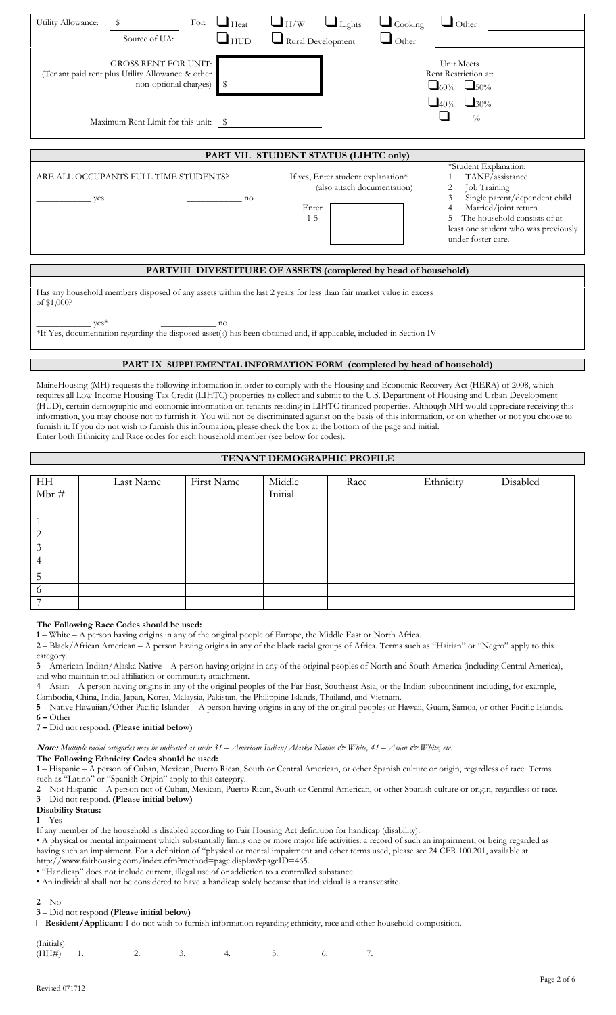| Utility Allowance:<br>For:<br>\$<br>$\Box$ Heat<br>$\Box$ HUD<br>Source of UA:                          | $\Box$ H/W<br>$\Box$ Lights<br>$\Box$ Cooking<br>$\Box$ Other<br>$\Box$ Rural Development<br>$\bigcup$ Other                                                                                                                                                                                                       |
|---------------------------------------------------------------------------------------------------------|--------------------------------------------------------------------------------------------------------------------------------------------------------------------------------------------------------------------------------------------------------------------------------------------------------------------|
| <b>GROSS RENT FOR UNIT:</b><br>Tenant paid rent plus Utility Allowance & other<br>non-optional charges) | Unit Meets<br>Rent Restriction at:<br>$\Box$ 50%<br>$\Box$ 60%                                                                                                                                                                                                                                                     |
| Maximum Rent Limit for this unit: \$                                                                    | $-40\%$ $-30\%$<br>$\frac{0}{0}$                                                                                                                                                                                                                                                                                   |
|                                                                                                         | PART VII. STUDENT STATUS (LIHTC only)                                                                                                                                                                                                                                                                              |
| ARE ALL OCCUPANTS FULL TIME STUDENTS?<br>yes<br>no                                                      | *Student Explanation:<br>TANF/assistance<br>If yes, Enter student explanation*<br>(also attach documentation)<br>Job Training<br>2<br>Single parent/dependent child<br>3<br>Married/joint return<br>Enter<br>The household consists of at<br>$1 - 5$<br>least one student who was previously<br>under foster care. |
|                                                                                                         | PARTVIII DIVESTITURE OF ASSETS (completed by head of household)                                                                                                                                                                                                                                                    |
|                                                                                                         |                                                                                                                                                                                                                                                                                                                    |

Has any household members disposed of any assets within the last 2 years for less than fair market value in excess of \$1,000?

 $yes^*$  and  $yes^*$  and  $yes^*$  and  $yes^*$ \*If Yes, documentation regarding the disposed asset(s) has been obtained and, if applicable, included in Section IV

### **PART IX SUPPLEMENTAL INFORMATION FORM (completed by head of household)**

MaineHousing (MH) requests the following information in order to comply with the Housing and Economic Recovery Act (HERA) of 2008, which requires all Low Income Housing Tax Credit (LIHTC) properties to collect and submit to the U.S. Department of Housing and Urban Development (HUD), certain demographic and economic information on tenants residing in LIHTC financed properties. Although MH would appreciate receiving this information, you may choose not to furnish it. You will not be discriminated against on the basis of this information, or on whether or not you choose to furnish it. If you do not wish to furnish this information, please check the box at the bottom of the page and initial. Enter both Ethnicity and Race codes for each household member (see below for codes).

# **TENANT DEMOGRAPHIC PROFILE**

| $\frac{HH}{Mbr}$ # | Last Name | First Name | Middle<br>Initial | Race | Ethnicity | Disabled |
|--------------------|-----------|------------|-------------------|------|-----------|----------|
|                    |           |            |                   |      |           |          |
| ⌒                  |           |            |                   |      |           |          |
|                    |           |            |                   |      |           |          |
|                    |           |            |                   |      |           |          |
|                    |           |            |                   |      |           |          |
| O                  |           |            |                   |      |           |          |
|                    |           |            |                   |      |           |          |

#### **The Following Race Codes should be used:**

**1** – White – A person having origins in any of the original people of Europe, the Middle East or North Africa.

**2** – Black/African American – A person having origins in any of the black racial groups of Africa. Terms such as "Haitian" or "Negro" apply to this

category. **3** – American Indian/Alaska Native – A person having origins in any of the original peoples of North and South America (including Central America), and who maintain tribal affiliation or community attachment.

**4** – Asian – A person having origins in any of the original peoples of the Far East, Southeast Asia, or the Indian subcontinent including, for example, Cambodia, China, India, Japan, Korea, Malaysia, Pakistan, the Philippine Islands, Thailand, and Vietnam.

**5** – Native Hawaiian/Other Pacific Islander – A person having origins in any of the original peoples of Hawaii, Guam, Samoa, or other Pacific Islands. **6 –** Other

**7 –** Did not respond. **(Please initial below)** 

**Note:** *Multiple racial categories may be indicated as such: 31 – American Indian/Alaska Native & White, 41 – Asian & White, etc.* 

**The Following Ethnicity Codes should be used:**

**1** – Hispanic – A person of Cuban, Mexican, Puerto Rican, South or Central American, or other Spanish culture or origin, regardless of race. Terms such as "Latino" or "Spanish Origin" apply to this category.

**2** – Not Hispanic – A person not of Cuban, Mexican, Puerto Rican, South or Central American, or other Spanish culture or origin, regardless of race. **3** – Did not respond. **(Please initial below)** 

#### **Disability Status:**

 $1 - Yes$ 

If any member of the household is disabled according to Fair Housing Act definition for handicap (disability):

• A physical or mental impairment which substantially limits one or more major life activities: a record of such an impairment; or being regarded as having such an impairment. For a definition of "physical or mental impairment and other terms used, please see 24 CFR 100.201, available at http://www.fairhousing.com/index.cfm?method=page.display&pageID=465.

• "Handicap" does not include current, illegal use of or addiction to a controlled substance.

• An individual shall not be considered to have a handicap solely because that individual is a transvestite.

**2** – No

#### **3** – Did not respond **(Please initial below)**

**Resident/Applicant:** I do not wish to furnish information regarding ethnicity, race and other household composition.

| . .<br>$\overline{\phantom{a}}$ | the property of the con- |  |  |  |
|---------------------------------|--------------------------|--|--|--|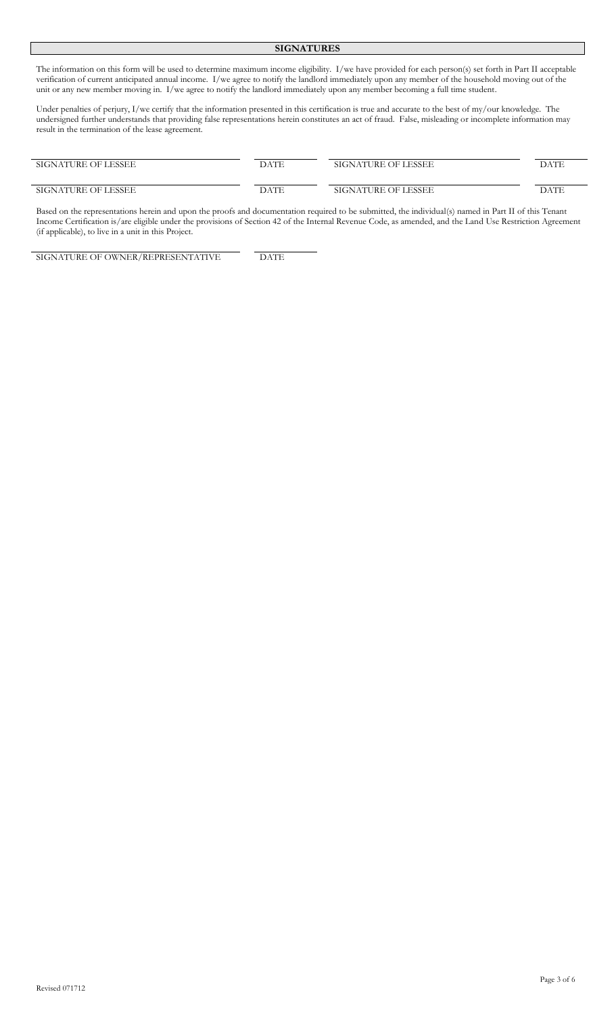#### **SIGNATURES**

The information on this form will be used to determine maximum income eligibility. I/we have provided for each person(s) set forth in Part II acceptable verification of current anticipated annual income. I/we agree to notify the landlord immediately upon any member of the household moving out of the unit or any new member moving in. I/we agree to notify the landlord immediately upon any member becoming a full time student.

Under penalties of perjury, I/we certify that the information presented in this certification is true and accurate to the best of my/our knowledge. The undersigned further understands that providing false representations herein constitutes an act of fraud. False, misleading or incomplete information may result in the termination of the lease agreement.

| SIGNATURE OF LESSEE | DATE | SIGNATURE OF LESSEE | DATE |
|---------------------|------|---------------------|------|
| SIGNATURE OF LESSEE | DATE | SIGNATURE OF LESSEE | DATE |

Based on the representations herein and upon the proofs and documentation required to be submitted, the individual(s) named in Part II of this Tenant Income Certification is/are eligible under the provisions of Section 42 of the Internal Revenue Code, as amended, and the Land Use Restriction Agreement (if applicable), to live in a unit in this Project.

SIGNATURE OF OWNER/REPRESENTATIVE DATE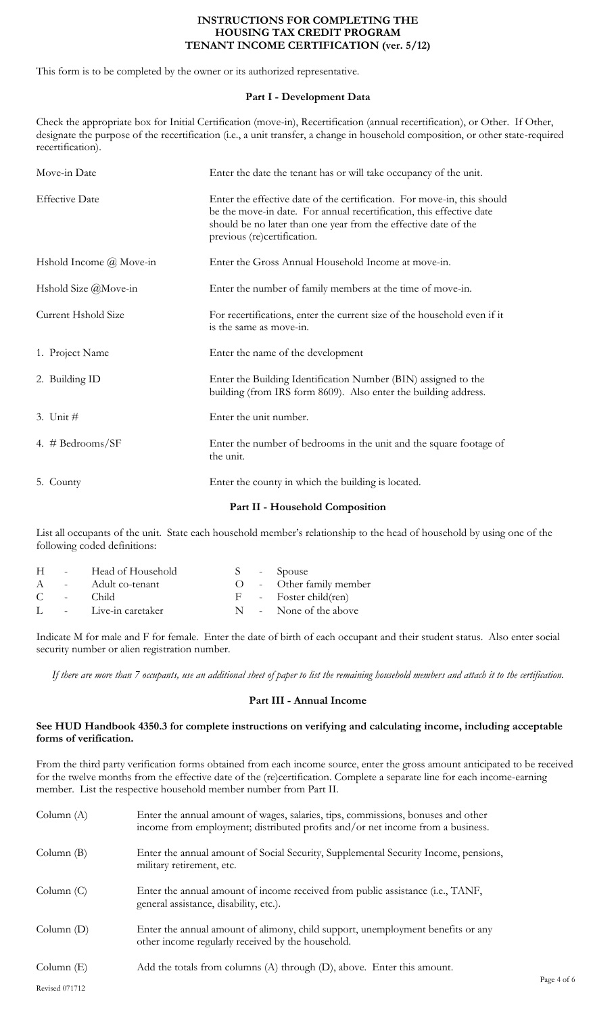# **INSTRUCTIONS FOR COMPLETING THE HOUSING TAX CREDIT PROGRAM TENANT INCOME CERTIFICATION (ver. 5/12)**

This form is to be completed by the owner or its authorized representative.

# **Part I - Development Data**

Check the appropriate box for Initial Certification (move-in), Recertification (annual recertification), or Other. If Other, designate the purpose of the recertification (i.e., a unit transfer, a change in household composition, or other state-required recertification).

| Move-in Date                   | Enter the date the tenant has or will take occupancy of the unit.                                                                                                                                                                                 |
|--------------------------------|---------------------------------------------------------------------------------------------------------------------------------------------------------------------------------------------------------------------------------------------------|
| <b>Effective Date</b>          | Enter the effective date of the certification. For move-in, this should<br>be the move-in date. For annual recertification, this effective date<br>should be no later than one year from the effective date of the<br>previous (re)certification. |
| Hshold Income $\omega$ Move-in | Enter the Gross Annual Household Income at move-in.                                                                                                                                                                                               |
| Hshold Size @Move-in           | Enter the number of family members at the time of move-in.                                                                                                                                                                                        |
| Current Hshold Size            | For recertifications, enter the current size of the household even if it<br>is the same as move-in.                                                                                                                                               |
| 1. Project Name                | Enter the name of the development                                                                                                                                                                                                                 |
| 2. Building ID                 | Enter the Building Identification Number (BIN) assigned to the<br>building (from IRS form 8609). Also enter the building address.                                                                                                                 |
| 3. Unit $#$                    | Enter the unit number.                                                                                                                                                                                                                            |
| 4. # Bedrooms/SF               | Enter the number of bedrooms in the unit and the square footage of<br>the unit.                                                                                                                                                                   |
| 5. County                      | Enter the county in which the building is located.                                                                                                                                                                                                |
|                                | Part II - Household Composition                                                                                                                                                                                                                   |

List all occupants of the unit. State each household member's relationship to the head of household by using one of the following coded definitions:

| H  | <b>Service</b>    | Head of Household     |  | S - Spouse              |
|----|-------------------|-----------------------|--|-------------------------|
| A  |                   | - Adult co-tenant     |  | O - Other family member |
| C. | <b>Contractor</b> | Child.                |  | F - Foster child(ren)   |
|    |                   | L - Live-in caretaker |  | N - None of the above   |
|    |                   |                       |  |                         |

Indicate M for male and F for female. Enter the date of birth of each occupant and their student status. Also enter social security number or alien registration number.

*If there are more than 7 occupants, use an additional sheet of paper to list the remaining household members and attach it to the certification.*

# **Part III - Annual Income**

# **See HUD Handbook 4350.3 for complete instructions on verifying and calculating income, including acceptable forms of verification.**

From the third party verification forms obtained from each income source, enter the gross amount anticipated to be received for the twelve months from the effective date of the (re)certification. Complete a separate line for each income-earning member. List the respective household member number from Part II.

| Column $(A)$          | Enter the annual amount of wages, salaries, tips, commissions, bonuses and other<br>income from employment; distributed profits and/or net income from a business. |
|-----------------------|--------------------------------------------------------------------------------------------------------------------------------------------------------------------|
| Column $(B)$          | Enter the annual amount of Social Security, Supplemental Security Income, pensions,<br>military retirement, etc.                                                   |
| Column(C)             | Enter the annual amount of income received from public assistance (i.e., TANF,<br>general assistance, disability, etc.).                                           |
| Column $(D)$          | Enter the annual amount of alimony, child support, unemployment benefits or any<br>other income regularly received by the household.                               |
| Column $(E)$          | Add the totals from columns (A) through (D), above. Enter this amount.                                                                                             |
| <b>Revised 071712</b> |                                                                                                                                                                    |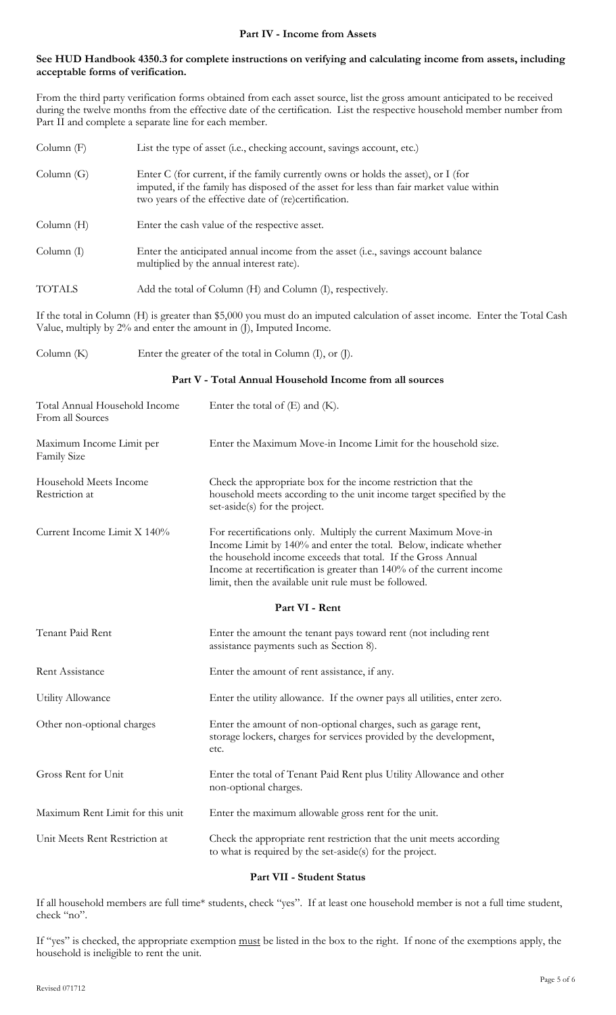# **See HUD Handbook 4350.3 for complete instructions on verifying and calculating income from assets, including acceptable forms of verification.**

From the third party verification forms obtained from each asset source, list the gross amount anticipated to be received during the twelve months from the effective date of the certification. List the respective household member number from Part II and complete a separate line for each member.

| Column $(F)$  | List the type of asset (i.e., checking account, savings account, etc.)                                                                                                                                                                |
|---------------|---------------------------------------------------------------------------------------------------------------------------------------------------------------------------------------------------------------------------------------|
| Column(G)     | Enter C (for current, if the family currently owns or holds the asset), or I (for<br>imputed, if the family has disposed of the asset for less than fair market value within<br>two years of the effective date of (re)certification. |
| Column(H)     | Enter the cash value of the respective asset.                                                                                                                                                                                         |
| Column(I)     | Enter the anticipated annual income from the asset (i.e., savings account balance<br>multiplied by the annual interest rate).                                                                                                         |
| <b>TOTALS</b> | Add the total of Column (H) and Column (I), respectively.                                                                                                                                                                             |

If the total in Column (H) is greater than \$5,000 you must do an imputed calculation of asset income. Enter the Total Cash Value, multiply by 2% and enter the amount in (J), Imputed Income.

Column (K) Enter the greater of the total in Column (I), or (J).

# **Part V - Total Annual Household Income from all sources**

| Total Annual Household Income<br>From all Sources | Enter the total of $(E)$ and $(K)$ .                                                                                                                                                                                                                                                                                                  |
|---------------------------------------------------|---------------------------------------------------------------------------------------------------------------------------------------------------------------------------------------------------------------------------------------------------------------------------------------------------------------------------------------|
| Maximum Income Limit per<br>Family Size           | Enter the Maximum Move-in Income Limit for the household size.                                                                                                                                                                                                                                                                        |
| Household Meets Income<br>Restriction at          | Check the appropriate box for the income restriction that the<br>household meets according to the unit income target specified by the<br>set-aside(s) for the project.                                                                                                                                                                |
| Current Income Limit X 140%                       | For recertifications only. Multiply the current Maximum Move-in<br>Income Limit by 140% and enter the total. Below, indicate whether<br>the household income exceeds that total. If the Gross Annual<br>Income at recertification is greater than 140% of the current income<br>limit, then the available unit rule must be followed. |
|                                                   | Part VI - Rent                                                                                                                                                                                                                                                                                                                        |
| Tenant Paid Rent                                  | Enter the amount the tenant pays toward rent (not including rent<br>assistance payments such as Section 8).                                                                                                                                                                                                                           |
| Rent Assistance                                   | Enter the amount of rent assistance, if any.                                                                                                                                                                                                                                                                                          |
| <b>Utility Allowance</b>                          | Enter the utility allowance. If the owner pays all utilities, enter zero.                                                                                                                                                                                                                                                             |
| Other non-optional charges                        | Enter the amount of non-optional charges, such as garage rent,<br>storage lockers, charges for services provided by the development,<br>etc.                                                                                                                                                                                          |
| Gross Rent for Unit                               | Enter the total of Tenant Paid Rent plus Utility Allowance and other<br>non-optional charges.                                                                                                                                                                                                                                         |
| Maximum Rent Limit for this unit                  | Enter the maximum allowable gross rent for the unit.                                                                                                                                                                                                                                                                                  |
| Unit Meets Rent Restriction at                    | Check the appropriate rent restriction that the unit meets according<br>to what is required by the set-aside(s) for the project.                                                                                                                                                                                                      |

# **Part VII - Student Status**

If all household members are full time\* students, check "yes". If at least one household member is not a full time student, check "no".

If "yes" is checked, the appropriate exemption must be listed in the box to the right. If none of the exemptions apply, the household is ineligible to rent the unit.